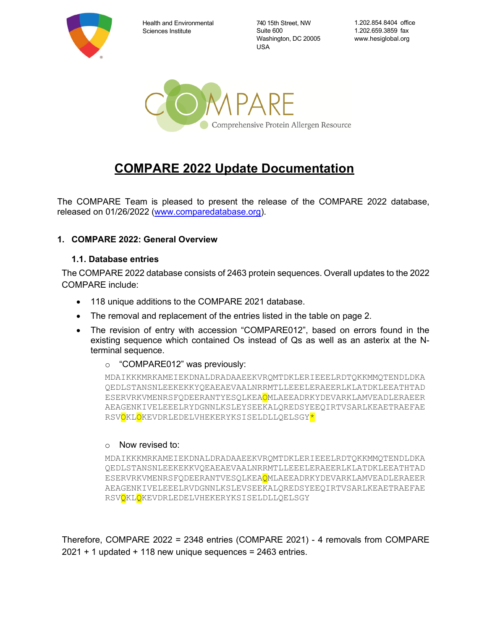

Health and Environmental Sciences Institute

740 15th Street, NW Suite 600 Washington, DC 20005 USA

1.202.854.8404 office 1.202.659.3859 fax www.hesiglobal.org



# **COMPARE 2022 Update Documentation**

The COMPARE Team is pleased to present the release of the COMPARE 2022 database, released on 01/26/2022 [\(www.comparedatabase.org\)](http://www.comparedatabase.org/).

#### **1. COMPARE 2022: General Overview**

#### **1.1. Database entries**

The COMPARE 2022 database consists of 2463 protein sequences. Overall updates to the 2022 COMPARE include:

- 118 unique additions to the COMPARE 2021 database.
- The removal and replacement of the entries listed in the table on page 2.
- The revision of entry with accession "COMPARE012", based on errors found in the existing sequence which contained Os instead of Qs as well as an asterix at the Nterminal sequence.
	- o "COMPARE012" was previously:

MDAIKKKMRKAMEIEKDNALDRADAAEEKVRQMTDKLERIEEELRDTQKKMMQTENDLDKA QEDLSTANSNLEEKEKKYQEAEAEVAALNRRMTLLEEELERAEERLKLATDKLEEATHTAD ESERVRKVMENRSFQDEERANTYESQLKEAOMLAEEADRKYDEVARKLAMVEADLERAEER AEAGENKIVELEEELRYDGNNLKSLEYSEEKALQREDSYEEQIRTVSARLKEAETRAEFAE RSVOKLOKEVDRLEDELVHEKERYKSISELDLLQELSGY<mark>\*</mark>

#### o Now revised to:

MDAIKKKMRKAMEIEKDNALDRADAAEEKVRQMTDKLERIEEELRDTQKKMMQTENDLDKA QEDLSTANSNLEEKEKKVQEAEAEVAALNRRMTLLEEELERAEERLKLATDKLEEATHTAD ESERVRKVMENRSFQDEERANTVESQLKEAQMLAEEADRKYDEVARKLAMVEADLERAEER AEAGENKIVELEEELRVDGNNLKSLEVSEEKALQREDSYEEQIRTVSARLKEAETRAEFAE RSVQKLQKEVDRLEDELVHEKERYKSISELDLLQELSGY

Therefore, COMPARE 2022 = 2348 entries (COMPARE 2021) - 4 removals from COMPARE  $2021 + 1$  updated + 118 new unique sequences = 2463 entries.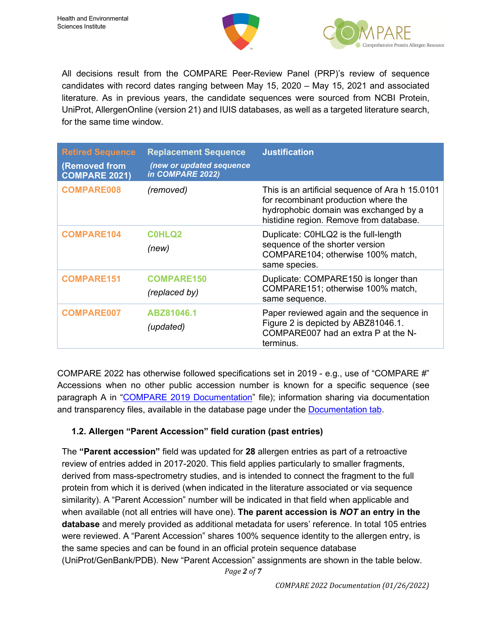



All decisions result from the COMPARE Peer-Review Panel (PRP)'s review of sequence candidates with record dates ranging between May 15, 2020 – May 15, 2021 and associated literature. As in previous years, the candidate sequences were sourced from NCBI Protein, UniProt, AllergenOnline (version 21) and IUIS databases, as well as a targeted literature search, for the same time window.

| <b>Retired Sequence</b><br><b>(Removed from</b><br><b>COMPARE 2021)</b> | <b>Replacement Sequence</b><br>(new or updated sequence<br>in COMPARE 2022) | <b>Justification</b>                                                                                                                                                        |
|-------------------------------------------------------------------------|-----------------------------------------------------------------------------|-----------------------------------------------------------------------------------------------------------------------------------------------------------------------------|
| <b>COMPARE008</b>                                                       | (removed)                                                                   | This is an artificial sequence of Ara h 15.0101<br>for recombinant production where the<br>hydrophobic domain was exchanged by a<br>histidine region. Remove from database. |
| <b>COMPARE104</b>                                                       | <b>COHLQ2</b><br>(new)                                                      | Duplicate: C0HLQ2 is the full-length<br>sequence of the shorter version<br>COMPARE104; otherwise 100% match,<br>same species.                                               |
| <b>COMPARE151</b>                                                       | <b>COMPARE150</b><br>(replaced by)                                          | Duplicate: COMPARE150 is longer than<br>COMPARE151; otherwise 100% match,<br>same sequence.                                                                                 |
| <b>COMPARE007</b>                                                       | ABZ81046.1<br>(updated)                                                     | Paper reviewed again and the sequence in<br>Figure 2 is depicted by ABZ81046.1.<br>COMPARE007 had an extra P at the N-<br>terminus.                                         |

COMPARE 2022 has otherwise followed specifications set in 2019 - e.g., use of "COMPARE #" Accessions when no other public accession number is known for a specific sequence (see paragraph A in ["COMPARE 2019 Documentation"](http://db.comparedatabase.org/docs/COMPARE-2019-Documentation-2019-01-17.pdf?v=20190117) file); information sharing via documentation and transparency files, available in the database page under the [Documentation tab.](http://db.comparedatabase.org/documentation)

# **1.2. Allergen "Parent Accession" field curation (past entries)**

The **"Parent accession"** field was updated for **28** allergen entries as part of a retroactive review of entries added in 2017-2020. This field applies particularly to smaller fragments, derived from mass-spectrometry studies, and is intended to connect the fragment to the full protein from which it is derived (when indicated in the literature associated or via sequence similarity). A "Parent Accession" number will be indicated in that field when applicable and when available (not all entries will have one). **The parent accession is** *NOT* **an entry in the database** and merely provided as additional metadata for users' reference. In total 105 entries were reviewed. A "Parent Accession" shares 100% sequence identity to the allergen entry, is the same species and can be found in an official protein sequence database (UniProt/GenBank/PDB). New "Parent Accession" assignments are shown in the table below.

*Page 2 of 7*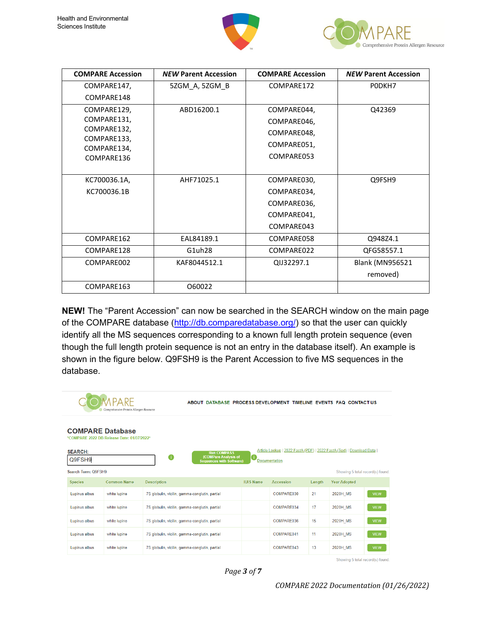



| <b>COMPARE Accession</b> | <b>NEW Parent Accession</b> | <b>COMPARE Accession</b> | <b>NEW Parent Accession</b> |
|--------------------------|-----------------------------|--------------------------|-----------------------------|
| COMPARE147,              | 5ZGM_A, 5ZGM_B              | COMPARE172               | PODKH7                      |
| COMPARE148               |                             |                          |                             |
| COMPARE129,              | ABD16200.1                  | COMPARE044,              | Q42369                      |
| COMPARE131,              |                             | COMPARE046,              |                             |
| COMPARE132,              |                             | COMPARE048,              |                             |
| COMPARE133,              |                             | COMPARE051,              |                             |
| COMPARE134,              |                             | COMPARE053               |                             |
| COMPARE136               |                             |                          |                             |
|                          |                             |                          |                             |
| KC700036.1A,             | AHF71025.1                  | COMPARE030,              | Q9FSH9                      |
| KC700036.1B              |                             | COMPARE034,              |                             |
|                          |                             | COMPARE036,              |                             |
|                          |                             | COMPARE041,              |                             |
|                          |                             | COMPARE043               |                             |
| COMPARE162               | EAL84189.1                  | COMPARE058               | Q948Z4.1                    |
| COMPARE128               | G1uh28                      | COMPARE022               | QFG58557.1                  |
| COMPARE002               | KAF8044512.1                | QIJ32297.1               | <b>Blank (MN956521</b>      |
|                          |                             |                          | removed)                    |
| COMPARE163               | 060022                      |                          |                             |

**NEW!** The "Parent Accession" can now be searched in the SEARCH window on the main page of the COMPARE database [\(http://db.comparedatabase.org/\)](http://db.comparedatabase.org/) so that the user can quickly identify all the MS sequences corresponding to a known full length protein sequence (even though the full length protein sequence is not an entry in the database itself). An example is shown in the figure below. Q9FSH9 is the Parent Accession to five MS sequences in the database.

|                          | Comprehensive Protein Allergen Resource    | ABOUT DATABASE PROCESS DEVELOPMENT TIMELINE EVENTS FAQ CONTACTUS                   |                  |                                                                                          |        |                                  |             |
|--------------------------|--------------------------------------------|------------------------------------------------------------------------------------|------------------|------------------------------------------------------------------------------------------|--------|----------------------------------|-------------|
| <b>COMPARE Database</b>  | *COMPARE 2022 DB Release Date: 01/07/2022* |                                                                                    |                  |                                                                                          |        |                                  |             |
| <b>SEARCH:</b><br>Q9FSH9 |                                            | <b>Run COMPASS</b><br>6<br>(COMPare Analysis of<br><b>Sequences with Software)</b> | a.               | Article Lookup   2022 FastA (PDF)   2022 FastA (Text)   Download Data  <br>Documentation |        |                                  |             |
| Search Term: Q9FSH9      |                                            |                                                                                    |                  |                                                                                          |        | Showing 5 total record(s) found. |             |
| <b>Species</b>           | <b>Common Name</b>                         | <b>Description</b>                                                                 | <b>IUIS Name</b> | Accession                                                                                | Length | <b>Year Adopted</b>              |             |
| Lupinus albus            | white lupine                               | 7S globulin, vicilin, gamma-conglutin, partial                                     |                  | COMPARE030                                                                               | 21     | 2020H MS                         | <b>VIEW</b> |
| Lupinus albus            | white lupine                               | 7S globulin, vicilin, gamma-conglutin, partial                                     |                  | COMPARE034                                                                               | 17     | 2020H MS                         | <b>VIEW</b> |
| Lupinus albus            | white lupine                               | 7S globulin, vicilin, gamma-conglutin, partial                                     |                  | COMPARE036                                                                               | 15     | 2020H MS                         | <b>VIEW</b> |
| Lupinus albus            | white lupine                               | 7S globulin, vicilin, gamma-conglutin, partial                                     |                  | COMPARE041                                                                               | 11     | 2020H MS                         | <b>VIEW</b> |
| Lupinus albus            | white lupine                               | 7S globulin, vicilin, gamma-conglutin, partial                                     |                  | COMPARE043                                                                               | 13     | 2020H MS                         | <b>VIEW</b> |

Showing 5 total record(s) found.



*COMPARE 2022 Documentation (01/26/2022)*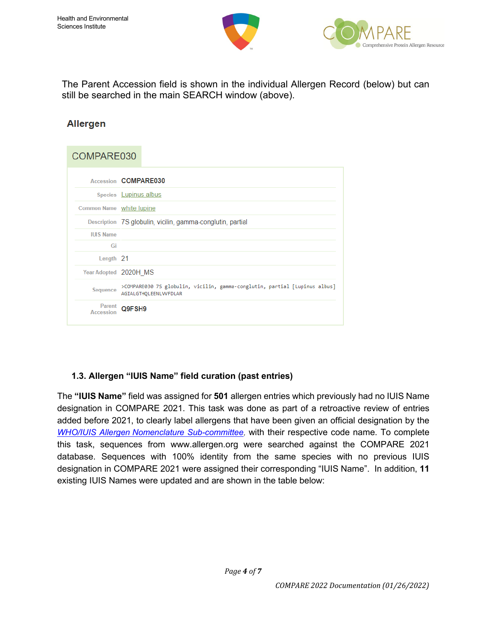



The Parent Accession field is shown in the individual Allergen Record (below) but can still be searched in the main SEARCH window (above).

# **Allergen**

# COMPARF030

|                          | Accession COMPARE030                                                                                |
|--------------------------|-----------------------------------------------------------------------------------------------------|
|                          | Species Lupinus albus                                                                               |
| Common Name white lupine |                                                                                                     |
|                          | Description 7S globulin, vicilin, gamma-conglutin, partial                                          |
| <b>IUIS Name</b>         |                                                                                                     |
| Gi                       |                                                                                                     |
| Length 21                |                                                                                                     |
| Year Adopted 2020H MS    |                                                                                                     |
| Sequence                 | >COMPARE030 7S globulin, vicilin, gamma-conglutin, partial [Lupinus albus]<br>AGIALGTHQLEENLVVFDLAR |
| Parent<br>Accession      | Q9FSH9                                                                                              |

# **1.3. Allergen "IUIS Name" field curation (past entries)**

The **"IUIS Name"** field was assigned for **501** allergen entries which previously had no IUIS Name designation in COMPARE 2021. This task was done as part of a retroactive review of entries added before 2021, to clearly label allergens that have been given an official designation by the *WHO/IUIS Allergen [Nomenclature Sub-committee,](http://www.allergen.org/)* with their respective code name. To complete this task, sequences from www.allergen.org were searched against the COMPARE 2021 database. Sequences with 100% identity from the same species with no previous IUIS designation in COMPARE 2021 were assigned their corresponding "IUIS Name". In addition, **11** existing IUIS Names were updated and are shown in the table below: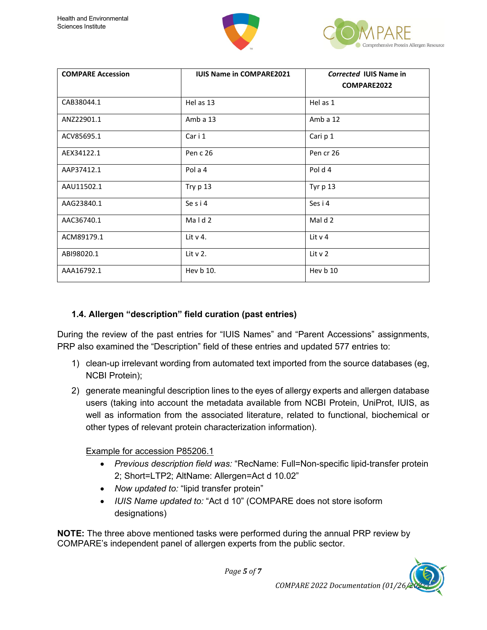



| <b>COMPARE Accession</b> | <b>IUIS Name in COMPARE2021</b> | Corrected IUIS Name in<br>COMPARE2022 |
|--------------------------|---------------------------------|---------------------------------------|
| CAB38044.1               | Hel as 13                       | Hel as 1                              |
| ANZ22901.1               | Amb a $13$                      | Amb a $12$                            |
| ACV85695.1               | Car i 1                         | Cari p 1                              |
| AEX34122.1               | Pen c 26                        | Pen cr 26                             |
| AAP37412.1               | Pol a 4                         | Pold <sub>4</sub>                     |
| AAU11502.1               | Try p 13                        | Tyr p 13                              |
| AAG23840.1               | Se s i 4                        | Ses i 4                               |
| AAC36740.1               | Mald 2                          | Mal d 2                               |
| ACM89179.1               | Lit $v$ 4.                      | Lit $v$ 4                             |
| ABI98020.1               | Lit v 2.                        | Lit v 2                               |
| AAA16792.1               | Hev b 10.                       | Hev b 10                              |

### **1.4. Allergen "description" field curation (past entries)**

During the review of the past entries for "IUIS Names" and "Parent Accessions" assignments, PRP also examined the "Description" field of these entries and updated 577 entries to:

- 1) clean-up irrelevant wording from automated text imported from the source databases (eg, NCBI Protein);
- 2) generate meaningful description lines to the eyes of allergy experts and allergen database users (taking into account the metadata available from NCBI Protein, UniProt, IUIS, as well as information from the associated literature, related to functional, biochemical or other types of relevant protein characterization information).

#### Example for accession P85206.1

- *Previous description field was:* "RecName: Full=Non-specific lipid-transfer protein 2; Short=LTP2; AltName: Allergen=Act d 10.02"
- *Now updated to:* "lipid transfer protein"
- *IUIS Name updated to:* "Act d 10" (COMPARE does not store isoform designations)

*Page 5 of 7*

**NOTE:** The three above mentioned tasks were performed during the annual PRP review by COMPARE's independent panel of allergen experts from the public sector.

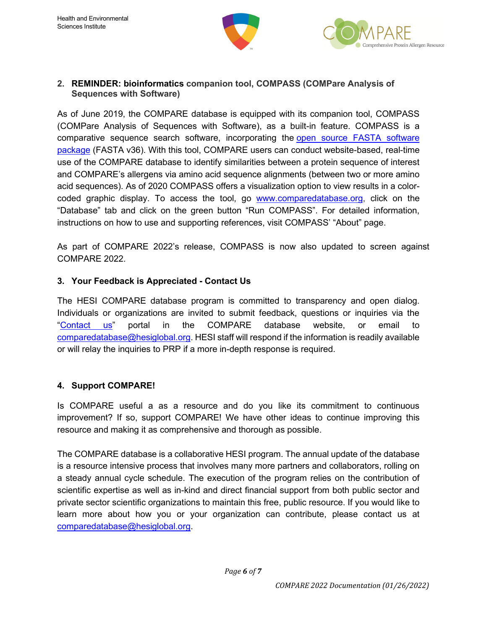



#### **2. REMINDER: bioinformatics companion tool, COMPASS (COMPare Analysis of Sequences with Software)**

As of June 2019, the COMPARE database is equipped with its companion tool, COMPASS (COMPare Analysis of Sequences with Software), as a built-in feature. COMPASS is a comparative sequence search software, incorporating the open source FASTA [software](https://fasta.bioch.virginia.edu/fasta_www2/fasta_intro.shtml) [package](https://fasta.bioch.virginia.edu/fasta_www2/fasta_intro.shtml) (FASTA v36). With this tool, COMPARE users can conduct website-based, real-time use of the COMPARE database to identify similarities between a protein sequence of interest and COMPARE's allergens via amino acid sequence alignments (between two or more amino acid sequences). As of 2020 COMPASS offers a visualization option to view results in a colorcoded graphic display. To access the tool, go [www.comparedatabase.org,](http://www.comparedatabase.org/) click on the "Database" tab and click on the green button "Run COMPASS". For detailed information, instructions on how to use and supporting references, visit COMPASS' "About" page.

As part of COMPARE 2022's release, COMPASS is now also updated to screen against COMPARE 2022.

#### **3. Your Feedback is Appreciated - Contact Us**

The HESI COMPARE database program is committed to transparency and open dialog. Individuals or organizations are invited to submit feedback, questions or inquiries via the ["Contact](https://comparedatabase.org/contact-us/) us" portal in the COMPARE database website, or email to [comparedatabase@hesiglobal.org.](mailto:comparedatabase@hesiglobal.org) HESI staff will respond if the information is readily available or will relay the inquiries to PRP if a more in-depth response is required.

# **4. Support COMPARE!**

Is COMPARE useful a as a resource and do you like its commitment to continuous improvement? If so, support COMPARE! We have other ideas to continue improving this resource and making it as comprehensive and thorough as possible.

The COMPARE database is a collaborative HESI program. The annual update of the database is a resource intensive process that involves many more partners and collaborators, rolling on a steady annual cycle schedule. The execution of the program relies on the contribution of scientific expertise as well as in-kind and direct financial support from both public sector and private sector scientific organizations to maintain this free, public resource. If you would like to learn more about how you or your organization can contribute, please contact us at [comparedatabase@hesiglobal.org.](mailto:comparedatabase@hesiglobal.org)